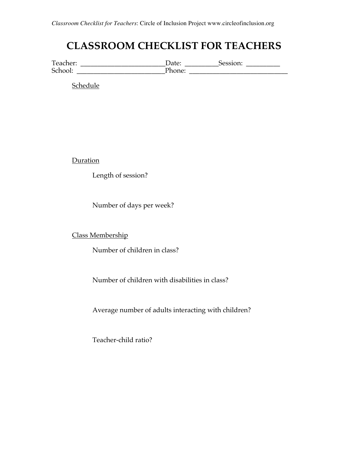# **CLASSROOM CHECKLIST FOR TEACHERS**

Teacher: \_\_\_\_\_\_\_\_\_\_\_\_\_\_\_\_\_\_\_\_\_\_\_\_\_\_\_\_\_\_Date: \_\_\_\_\_\_\_\_\_\_\_\_Session: \_\_\_\_\_\_\_\_\_\_\_\_\_\_ School: \_\_\_\_\_\_\_\_\_\_\_\_\_\_\_\_\_\_\_\_\_\_\_\_\_\_Phone: \_\_\_\_\_\_\_\_\_\_\_\_\_\_\_\_\_\_\_\_\_\_\_\_\_\_\_\_\_

Schedule

**Duration** 

Length of session?

Number of days per week?

Class Membership

Number of children in class?

Number of children with disabilities in class?

Average number of adults interacting with children?

Teacher-child ratio?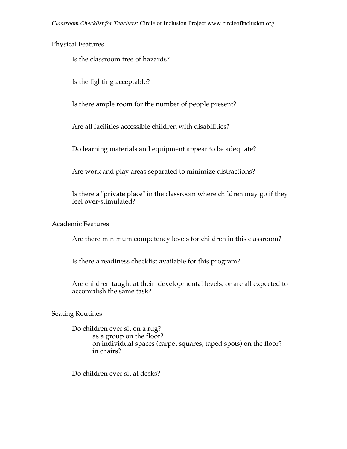## Physical Features

Is the classroom free of hazards?

Is the lighting acceptable?

Is there ample room for the number of people present?

Are all facilities accessible children with disabilities?

Do learning materials and equipment appear to be adequate?

Are work and play areas separated to minimize distractions?

Is there a "private place" in the classroom where children may go if they feel over-stimulated?

## Academic Features

Are there minimum competency levels for children in this classroom?

Is there a readiness checklist available for this program?

Are children taught at their developmental levels, or are all expected to accomplish the same task?

# Seating Routines

Do children ever sit on a rug? as a group on the floor? on individual spaces (carpet squares, taped spots) on the floor? in chairs?

Do children ever sit at desks?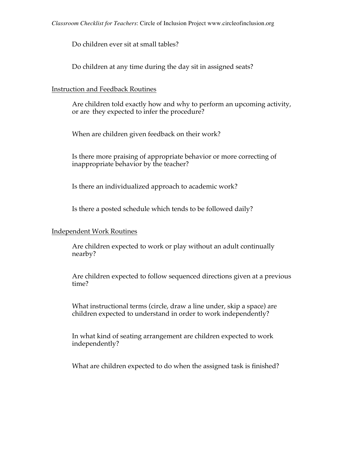Do children ever sit at small tables?

Do children at any time during the day sit in assigned seats?

## Instruction and Feedback Routines

Are children told exactly how and why to perform an upcoming activity, or are they expected to infer the procedure?

When are children given feedback on their work?

Is there more praising of appropriate behavior or more correcting of inappropriate behavior by the teacher?

Is there an individualized approach to academic work?

Is there a posted schedule which tends to be followed daily?

# Independent Work Routines

Are children expected to work or play without an adult continually nearby?

Are children expected to follow sequenced directions given at a previous time?

What instructional terms (circle, draw a line under, skip a space) are children expected to understand in order to work independently?

In what kind of seating arrangement are children expected to work independently?

What are children expected to do when the assigned task is finished?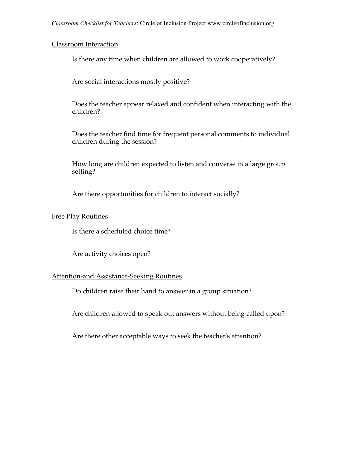#### Classroom Interaction

Is there any time when children are allowed to work cooperatively?

Are social interactions mostly positive?

Does the teacher appear relaxed and confident when interacting with the children?

Does the teacher find time for frequent personal comments to individual children during the session?

How long are children expected to listen and converse in a large group setting?

Are there opportunities for children to interact socially?

### Free Play Routines

Is there a scheduled choice time?

Are activity choices open?

#### Attention-and Assistance-Seeking Routines

Do children raise their hand to answer in a group situation?

Are children allowed to speak out answers without being called upon?

Are there other acceptable ways to seek the teacher's attention?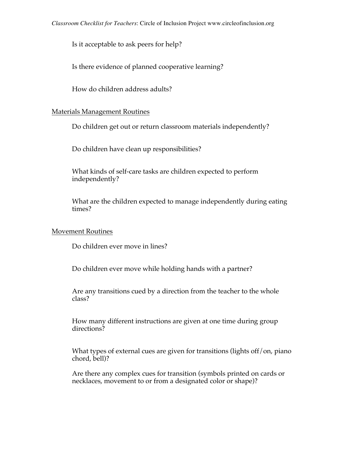Is it acceptable to ask peers for help?

Is there evidence of planned cooperative learning?

How do children address adults?

# Materials Management Routines

Do children get out or return classroom materials independently?

Do children have clean up responsibilities?

What kinds of self-care tasks are children expected to perform independently?

What are the children expected to manage independently during eating times?

# Movement Routines

Do children ever move in lines?

Do children ever move while holding hands with a partner?

Are any transitions cued by a direction from the teacher to the whole class?

How many different instructions are given at one time during group directions?

What types of external cues are given for transitions (lights off/on, piano chord, bell)?

Are there any complex cues for transition (symbols printed on cards or necklaces, movement to or from a designated color or shape)?